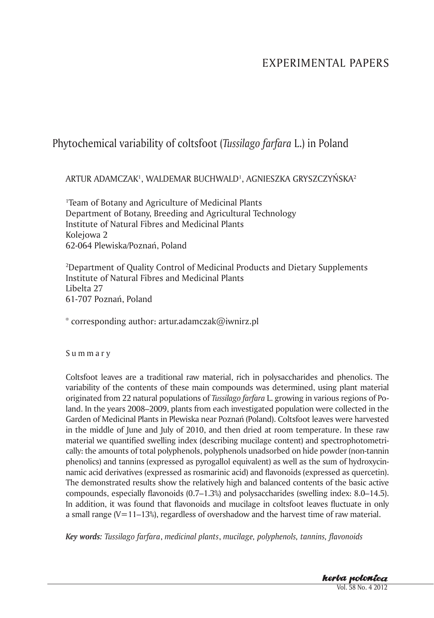# EXPERIMENTAL PAPERS

# Phytochemical variability of coltsfoot (*Tussilago farfara* L.) in Poland

ARTUR ADAMCZAK', WALDEMAR BUCHWALD', AGNIESZKA GRYSZCZYŃSKA<sup>2</sup>

1 Team of Botany and Agriculture of Medicinal Plants Department of Botany, Breeding and Agricultural Technology Institute of Natural Fibres and Medicinal Plants Kolejowa 2 62-064 Plewiska/Poznań, Poland

2 Department of Quality Control of Medicinal Products and Dietary Supplements Institute of Natural Fibres and Medicinal Plants Libelta 27 61-707 Poznań, Poland

\* corresponding author: artur.adamczak@iwnirz.pl

S u m m a r y

Coltsfoot leaves are a traditional raw material, rich in polysaccharides and phenolics. The variability of the contents of these main compounds was determined, using plant material originated from 22 natural populations of *Tussilago farfara* L. growing in various regions of Poland. In the years 2008–2009, plants from each investigated population were collected in the Garden of Medicinal Plants in Plewiska near Poznań (Poland). Coltsfoot leaves were harvested in the middle of June and July of 2010, and then dried at room temperature. In these raw material we quantified swelling index (describing mucilage content) and spectrophotometrically: the amounts of total polyphenols, polyphenols unadsorbed on hide powder (non-tannin phenolics) and tannins (expressed as pyrogallol equivalent) as well as the sum of hydroxycinnamic acid derivatives (expressed as rosmarinic acid) and flavonoids (expressed as quercetin). The demonstrated results show the relatively high and balanced contents of the basic active compounds, especially flavonoids (0.7–1.3%) and polysaccharides (swelling index: 8.0–14.5). In addition, it was found that flavonoids and mucilage in coltsfoot leaves fluctuate in only a small range  $(V=11-13%)$ , regardless of overshadow and the harvest time of raw material.

*Key words: Tussilago farfara*, *medicinal plants*, *mucilage, polyphenols, tannins, flavonoids*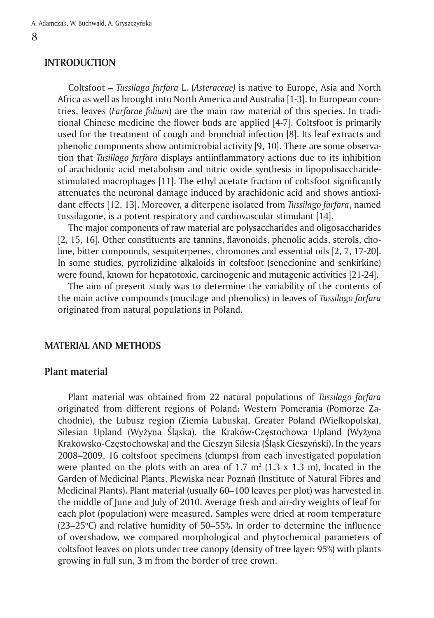### **INTRODUCTION**

Coltsfoot – *Tussilago farfara* L. (*Asteraceae)* is native to Europe, Asia and North Africa as well as brought into North America and Australia [1-3]. In European countries, leaves (*Farfarae folium*) are the main raw material of this species. In traditional Chinese medicine the flower buds are applied [4-7]. Coltsfoot is primarily used for the treatment of cough and bronchial infection [8]. Its leaf extracts and phenolic components show antimicrobial activity [9, 10]. There are some observation that *Tusillago farfara* displays antiinflammatory actions due to its inhibition of arachidonic acid metabolism and nitric oxide synthesis in lipopolisaccharidestimulated macrophages [11]. The ethyl acetate fraction of coltsfoot significantly attenuates the neuronal damage induced by arachidonic acid and shows antioxidant effects [12, 13]. Moreover, a diterpene isolated from *Tussilago farfara*, named tussilagone, is a potent respiratory and cardiovascular stimulant [14].

The major components of raw material are polysaccharides and oligosaccharides [2, 15, 16]. Other constituents are tannins, flavonoids, phenolic acids, sterols, choline, bitter compounds, sesquiterpenes, chromones and essential oils [2, 7, 17-20]. In some studies, pyrrolizidine alkaloids in coltsfoot (senecionine and senkirkine) were found, known for hepatotoxic, carcinogenic and mutagenic activities [21-24].

The aim of present study was to determine the variability of the contents of the main active compounds (mucilage and phenolics) in leaves of *Tussilago farfara* originated from natural populations in Poland.

### **MATERIAL AND METHODS**

## **Plant material**

Plant material was obtained from 22 natural populations of *Tussilago farfara* originated from different regions of Poland: Western Pomerania (Pomorze Zachodnie), the Lubusz region (Ziemia Lubuska), Greater Poland (Wielkopolska), Silesian Upland (Wyżyna Śląska), the Kraków-Częstochowa Upland (Wyżyna Krakowsko-Częstochowska) and the Cieszyn Silesia (Śląsk Cieszyński). In the years 2008–2009, 16 coltsfoot specimens (clumps) from each investigated population were planted on the plots with an area of  $1.7 \text{ m}^2$  (1.3 x 1.3 m), located in the Garden of Medicinal Plants, Plewiska near Poznań (Institute of Natural Fibres and Medicinal Plants). Plant material (usually 60–100 leaves per plot) was harvested in the middle of June and July of 2010. Average fresh and air-dry weights of leaf for each plot (population) were measured. Samples were dried at room temperature  $(23-25$ °C) and relative humidity of 50–55%. In order to determine the influence of overshadow, we compared morphological and phytochemical parameters of coltsfoot leaves on plots under tree canopy (density of tree layer: 95%) with plants growing in full sun, 3 m from the border of tree crown.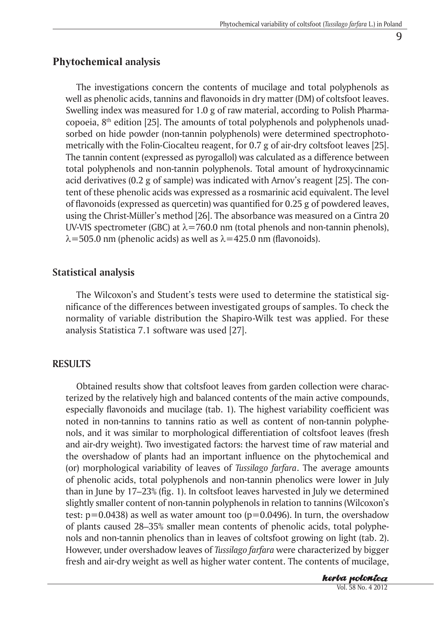# **Phytochemical analysis**

The investigations concern the contents of mucilage and total polyphenols as well as phenolic acids, tannins and flavonoids in dry matter (DM) of coltsfoot leaves. Swelling index was measured for 1.0 g of raw material, according to Polish Pharmacopoeia,  $8<sup>th</sup>$  edition [25]. The amounts of total polyphenols and polyphenols unadsorbed on hide powder (non-tannin polyphenols) were determined spectrophotometrically with the Folin-Ciocalteu reagent, for 0.7 g of air-dry coltsfoot leaves [25]. The tannin content (expressed as pyrogallol) was calculated as a difference between total polyphenols and non-tannin polyphenols. Total amount of hydroxycinnamic acid derivatives (0.2 g of sample) was indicated with Arnov's reagent [25]. The content of these phenolic acids was expressed as a rosmarinic acid equivalent. The level of flavonoids (expressed as quercetin) was quantified for 0.25 g of powdered leaves, using the Christ-Müller's method [26]. The absorbance was measured on a Cintra 20 UV-VIS spectrometer (GBC) at  $\lambda$ =760.0 nm (total phenols and non-tannin phenols),  $\lambda$ =505.0 nm (phenolic acids) as well as  $\lambda$ =425.0 nm (flavonoids).

# **Statistical analysis**

The Wilcoxon's and Student's tests were used to determine the statistical significance of the differences between investigated groups of samples. To check the normality of variable distribution the Shapiro-Wilk test was applied. For these analysis Statistica 7.1 software was used [27].

## **RESULTS**

Obtained results show that coltsfoot leaves from garden collection were characterized by the relatively high and balanced contents of the main active compounds, especially flavonoids and mucilage (tab. 1). The highest variability coefficient was noted in non-tannins to tannins ratio as well as content of non-tannin polyphenols, and it was similar to morphological differentiation of coltsfoot leaves (fresh and air-dry weight). Two investigated factors: the harvest time of raw material and the overshadow of plants had an important influence on the phytochemical and (or) morphological variability of leaves of *Tussilago farfara*. The average amounts of phenolic acids, total polyphenols and non-tannin phenolics were lower in July than in June by 17–23% (fig. 1). In coltsfoot leaves harvested in July we determined slightly smaller content of non-tannin polyphenols in relation to tannins (Wilcoxon's test:  $p=0.0438$ ) as well as water amount too ( $p=0.0496$ ). In turn, the overshadow of plants caused 28–35% smaller mean contents of phenolic acids, total polyphenols and non-tannin phenolics than in leaves of coltsfoot growing on light (tab. 2). However, under overshadow leaves of *Tussilago farfara* were characterized by bigger fresh and air-dry weight as well as higher water content. The contents of mucilage,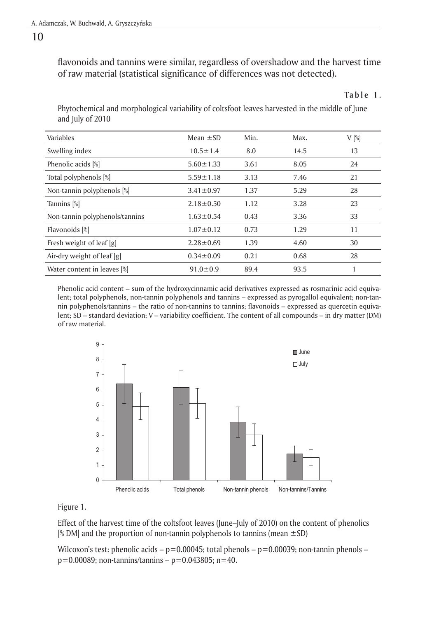#### 10

flavonoids and tannins were similar, regardless of overshadow and the harvest time of raw material (statistical significance of differences was not detected).

Phytochemical and morphological variability of coltsfoot leaves harvested in the middle of June and July of 2010

| Variables                      | Mean $\pm$ SD   | Min. | Max. | $V[\%]$ |
|--------------------------------|-----------------|------|------|---------|
| Swelling index                 | $10.5 \pm 1.4$  | 8.0  | 14.5 | 13      |
| Phenolic acids [%]             | $5.60 \pm 1.33$ | 3.61 | 8.05 | 24      |
| Total polyphenols [%]          | $5.59 \pm 1.18$ | 3.13 | 7.46 | 21      |
| Non-tannin polyphenols [%]     | $3.41 \pm 0.97$ | 1.37 | 5.29 | 28      |
| Tannins [%]                    | $2.18 \pm 0.50$ | 1.12 | 3.28 | 23      |
| Non-tannin polyphenols/tannins | $1.63 \pm 0.54$ | 0.43 | 3.36 | 33      |
| Flavonoids [%]                 | $1.07 \pm 0.12$ | 0.73 | 1.29 | 11      |
| Fresh weight of leaf [g]       | $2.28 \pm 0.69$ | 1.39 | 4.60 | 30      |
| Air-dry weight of leaf [g]     | $0.34 \pm 0.09$ | 0.21 | 0.68 | 28      |
| Water content in leaves [%]    | $91.0 \pm 0.9$  | 89.4 | 93.5 |         |

Phenolic acid content – sum of the hydroxycinnamic acid derivatives expressed as rosmarinic acid equivalent; total polyphenols, non-tannin polyphenols and tannins – expressed as pyrogallol equivalent; non-tannin polyphenols/tannins – the ratio of non-tannins to tannins; flavonoids – expressed as quercetin equivalent; SD – standard deviation; V – variability coefficient. The content of all compounds – in dry matter (DM) of raw material.



Figure 1.

Effect of the harvest time of the coltsfoot leaves (June–July of 2010) on the content of phenolics  $\frac{1}{2}$  DM] and the proportion of non-tannin polyphenols to tannins (mean  $\pm$ SD)

 $m$ ilcoxon's test: phenolic acids – p $=$  0.00045; total phenols – p $=$  0.00039; non-tannin phenols –  $p=0.00089$ ; non-tannins/tannins –  $p=0.043805$ ; n=40.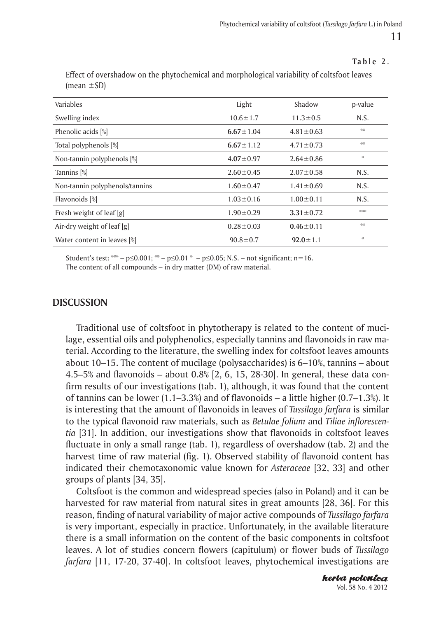## **Ta b l e 2.**

| Variables                      | Light           | Shadow          | p-value |
|--------------------------------|-----------------|-----------------|---------|
| Swelling index                 | $10.6 \pm 1.7$  | $11.3 \pm 0.5$  | N.S.    |
| Phenolic acids [%]             | $6.67 \pm 1.04$ | $4.81 \pm 0.63$ | 崇崇      |
| Total polyphenols [%]          | $6.67 \pm 1.12$ | $4.71 \pm 0.73$ | 崇崇      |
| Non-tannin polyphenols [%]     | $4.07 \pm 0.97$ | $2.64 \pm 0.86$ | 崇       |
| Tannins <sup>[%]</sup>         | $2.60 \pm 0.45$ | $2.07 \pm 0.58$ | N.S.    |
| Non-tannin polyphenols/tannins | $1.60 \pm 0.47$ | $1.41 \pm 0.69$ | N.S.    |
| Flavonoids [%]                 | $1.03 \pm 0.16$ | $1.00 \pm 0.11$ | N.S.    |
| Fresh weight of leaf [g]       | $1.90 \pm 0.29$ | $3.31 \pm 0.72$ | 岩岩茶     |
| Air-dry weight of leaf [g]     | $0.28 \pm 0.03$ | $0.46 \pm 0.11$ | 46%     |
| Water content in leaves [%]    | $90.8 \pm 0.7$  | $92.0 \pm 1.1$  | 崇       |

Effect of overshadow on the phytochemical and morphological variability of coltsfoot leaves  $(mean \pm SD)$ 

Student's test: \*\*\* – p≤0.001; \*\* – p≤0.01 \* – p≤0.05; N.S. – not significant; n=16. The content of all compounds – in dry matter (DM) of raw material.

## **DISCUSSION**

Traditional use of coltsfoot in phytotherapy is related to the content of mucilage, essential oils and polyphenolics, especially tannins and flavonoids in raw material. According to the literature, the swelling index for coltsfoot leaves amounts about 10–15. The content of mucilage (polysaccharides) is 6–10%, tannins – about 4.5–5% and flavonoids – about 0.8% [2, 6, 15, 28-30]. In general, these data confirm results of our investigations (tab. 1), although, it was found that the content of tannins can be lower  $(1.1–3.3%)$  and of flavonoids – a little higher  $(0.7–1.3%)$ . It is interesting that the amount of flavonoids in leaves of *Tussilago farfara* is similar to the typical flavonoid raw materials, such as *Betulae folium* and *Tiliae inflorescentia* [31]. In addition, our investigations show that flavonoids in coltsfoot leaves fluctuate in only a small range (tab. 1), regardless of overshadow (tab. 2) and the harvest time of raw material (fig. 1). Observed stability of flavonoid content has indicated their chemotaxonomic value known for *Asteraceae* [32, 33] and other groups of plants [34, 35].

Coltsfoot is the common and widespread species (also in Poland) and it can be harvested for raw material from natural sites in great amounts [28, 36]. For this reason, finding of natural variability of major active compounds of *Tussilago farfara* is very important, especially in practice. Unfortunately, in the available literature there is a small information on the content of the basic components in coltsfoot leaves. A lot of studies concern flowers (capitulum) or flower buds of *Tussilago farfara* [11, 17-20, 37-40]. In coltsfoot leaves, phytochemical investigations are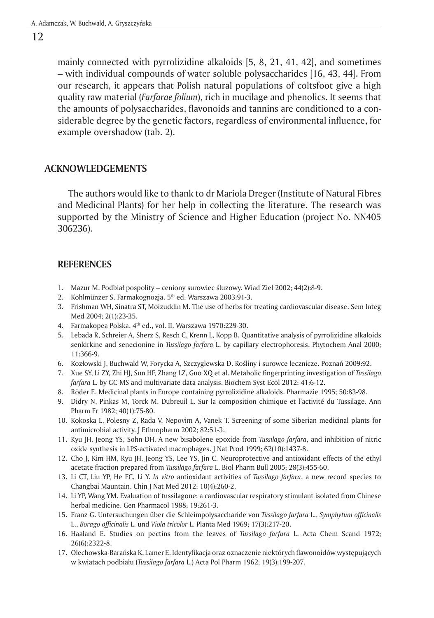### 12

mainly connected with pyrrolizidine alkaloids [5, 8, 21, 41, 42], and sometimes – with individual compounds of water soluble polysaccharides [16, 43, 44]. From our research, it appears that Polish natural populations of coltsfoot give a high quality raw material (*Farfarae folium*), rich in mucilage and phenolics. It seems that the amounts of polysaccharides, flavonoids and tannins are conditioned to a considerable degree by the genetic factors, regardless of environmental influence, for example overshadow (tab. 2).

#### **ACKNOWLEDGEMENTS**

The authors would like to thank to dr Mariola Dreger (Institute of Natural Fibres and Medicinal Plants) for her help in collecting the literature. The research was supported by the Ministry of Science and Higher Education (project No. NN405 306236).

#### **REFERENCES**

- 1. Mazur M. Podbiał pospolity ceniony surowiec śluzowy. Wiad Ziel 2002; 44(2):8-9.
- 2. Kohlmünzer S. Farmakognozja. 5<sup>th</sup> ed. Warszawa 2003:91-3.
- 3. Frishman WH, Sinatra ST, Moizuddin M. The use of herbs for treating cardiovascular disease. Sem Integ Med 2004; 2(1):23-35.
- 4. Farmakopea Polska. 4<sup>th</sup> ed., vol. II. Warszawa 1970:229-30.
- 5. Lebada R, Schreier A, Sherz S, Resch C, Krenn L, Kopp B. Quantitative analysis of pyrrolizidine alkaloids senkirkine and senecionine in *Tussilago farfara* L. by capillary electrophoresis. Phytochem Anal 2000; 11:366-9.
- 6. Kozłowski J, Buchwald W, Forycka A, Szczyglewska D. Rośliny i surowce lecznicze. Poznań 2009:92.
- 7. Xue SY, Li ZY, Zhi HJ, Sun HF, Zhang LZ, Guo XQ et al. Metabolic fingerprinting investigation of *Tussilago farfara* L. by GC-MS and multivariate data analysis. Biochem Syst Ecol 2012; 41:6-12.
- 8. Röder E. Medicinal plants in Europe containing pyrrolizidine alkaloids. Pharmazie 1995; 50:83-98.
- 9. Didry N, Pinkas M, Torck M, Dubreuil L. Sur la composition chimique et l'activité du Tussilage. Ann Pharm Fr 1982; 40(1):75-80.
- 10. Kokoska L, Polesny Z, Rada V, Nepovim A, Vanek T. Screening of some Siberian medicinal plants for antimicrobial activity. J Ethnopharm 2002; 82:51-3.
- 11. Ryu JH, Jeong YS, Sohn DH. A new bisabolene epoxide from *Tussilago farfara*, and inhibition of nitric oxide synthesis in LPS-activated macrophages. J Nat Prod 1999; 62(10):1437-8.
- 12. Cho J, Kim HM, Ryu JH, Jeong YS, Lee YS, Jin C. Neuroprotective and antioxidant effects of the ethyl acetate fraction prepared from *Tussilago farfara* L. Biol Pharm Bull 2005; 28(3):455-60.
- 13. Li CT, Liu YP, He FC, Li Y. *In vitro* antioxidant activities of *Tussilago farfara*, a new record species to Changbai Mauntain. Chin J Nat Med 2012; 10(4):260-2.
- 14. Li YP, Wang YM. Evaluation of tussilagone: a cardiovascular respiratory stimulant isolated from Chinese herbal medicine. Gen Pharmacol 1988; 19:261-3.
- 15. Franz G. Untersuchungen über die Schleimpolysaccharide von *Tussilago farfara* L., *Symphytum officinalis* L., *Borago officinalis* L. und *Viola tricolor* L. Planta Med 1969; 17(3):217-20.
- 16. Haaland E. Studies on pectins from the leaves of *Tussilago farfara* L. Acta Chem Scand 1972; 26(6):2322-8.
- 17. Olechowska-Barańska K, Lamer E. Identyfikacja oraz oznaczenie niektórych flawonoidów występujących w kwiatach podbiału (*Tussilago farfara* L.) Acta Pol Pharm 1962; 19(3):199-207.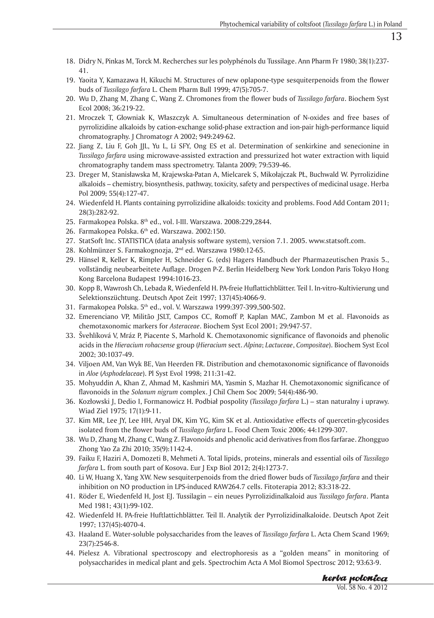- 18. Didry N, Pinkas M, Torck M. Recherches sur les polyphénols du Tussilage. Ann Pharm Fr 1980; 38(1):237- 41.
- 19. Yaoita Y, Kamazawa H, Kikuchi M. Structures of new oplapone-type sesquiterpenoids from the flower buds of *Tussilago farfara* L. Chem Pharm Bull 1999; 47(5):705-7.
- 20. Wu D, Zhang M, Zhang C, Wang Z. Chromones from the flower buds of *Tussilago farfara*. Biochem Syst Ecol 2008; 36:219-22.
- 21. Mroczek T, Głowniak K, Właszczyk A. Simultaneous determination of N-oxides and free bases of pyrrolizidine alkaloids by cation-exchange solid-phase extraction and ion-pair high-performance liquid chromatography. J Chromatogr A 2002; 949:249-62.
- 22. Jiang Z, Liu F, Goh JJL, Yu L, Li SFY, Ong ES et al. Determination of senkirkine and senecionine in *Tussilago farfara* using microwave-assisted extraction and pressurized hot water extraction with liquid chromatography tandem mass spectrometry. Talanta 2009; 79:539-46.
- 23. Dreger M, Stanisławska M, Krajewska-Patan A, Mielcarek S, Mikołajczak PŁ, Buchwald W. Pyrrolizidine alkaloids – chemistry, biosynthesis, pathway, toxicity, safety and perspectives of medicinal usage. Herba Pol 2009; 55(4):127-47.
- 24. Wiedenfeld H. Plants containing pyrrolizidine alkaloids: toxicity and problems. Food Add Contam 2011; 28(3):282-92.
- 25. Farmakopea Polska. 8<sup>th</sup> ed., vol. I-III. Warszawa. 2008:229,2844.
- 26. Farmakopea Polska. 6<sup>th</sup> ed. Warszawa. 2002:150.
- 27. StatSoft Inc. STATISTICA (data analysis software system), version 7.1. 2005. www.statsoft.com.
- 28. Kohlmünzer S. Farmakognozja, 2nd ed. Warszawa 1980:12-65.
- 29. Hänsel R, Keller K, Rimpler H, Schneider G. (eds) Hagers Handbuch der Pharmazeutischen Praxis 5., vollständig neubearbeitete Auflage. Drogen P-Z. Berlin Heidelberg New York London Paris Tokyo Hong Kong Barcelona Budapest 1994:1016-23.
- 30. Kopp B, Wawrosh Ch, Lebada R, Wiedenfeld H. PA-freie Huflattichblätter. Teil I. In-vitro-Kultivierung und Selektionszüchtung. Deutsch Apot Zeit 1997; 137(45):4066-9.
- 31. Farmakopea Polska. 5th ed., vol. V. Warszawa 1999:397-399,500-502.
- 32. Emerenciano VP, Militão JSLT, Campos CC, Romoff P, Kaplan MAC, Zambon M et al. Flavonoids as chemotaxonomic markers for *Asteraceae*. Biochem Syst Ecol 2001; 29:947-57.
- 33. Švehlíková V, Mráz P, Piacente S, Marhold K. Chemotaxonomic significance of flavonoids and phenolic acids in the *Hieracium rohacsense* group (*Hieracium* sect. *Alpina*; *Lactuceae*, *Compositae*). Biochem Syst Ecol 2002; 30:1037-49.
- 34. Viljoen AM, Van Wyk BE, Van Heerden FR. Distribution and chemotaxonomic significance of flavonoids in *Aloe* (*Asphodelaceae*). Pl Syst Evol 1998; 211:31-42.
- 35. Mohyuddin A, Khan Z, Ahmad M, Kashmiri MA, Yasmin S, Mazhar H. Chemotaxonomic significance of flavonoids in the *Solanum nigrum* complex. J Chil Chem Soc 2009; 54(4):486-90.
- 36. Kozłowski J, Dedio I, Formanowicz H. Podbiał pospolity (*Tussilago farfara* L.) stan naturalny i uprawy. Wiad Ziel 1975; 17(1):9-11.
- 37. Kim MR, Lee JY, Lee HH, Aryal DK, Kim YG, Kim SK et al. Antioxidative effects of quercetin-glycosides isolated from the flower buds of *Tussilago farfara* L. Food Chem Toxic 2006; 44:1299-307.
- 38. Wu D, Zhang M, Zhang C, Wang Z. Flavonoids and phenolic acid derivatives from flos farfarae. Zhongguo Zhong Yao Za Zhi 2010; 35(9):1142-4.
- 39. Faiku F, Haziri A, Domozeti B, Mehmeti A. Total lipids, proteins, minerals and essential oils of *Tussilago farfara* L. from south part of Kosova. Eur J Exp Biol 2012; 2(4):1273-7.
- 40. Li W, Huang X, Yang XW. New sesquiterpenoids from the dried flower buds of *Tussilago farfara* and their inhibition on NO production in LPS-induced RAW264.7 cells. Fitoterapia 2012; 83:318-22.
- 41. Röder E, Wiedenfeld H, Jost EJ. Tussilagin ein neues Pyrrolizidinalkaloid aus *Tussilago farfara*. Planta Med 1981; 43(1):99-102.
- 42. Wiedenfeld H. PA-freie Huftlattichblätter. Teil II. Analytik der Pyrrolizidinalkaloide. Deutsch Apot Zeit 1997; 137(45):4070-4.
- 43. Haaland E. Water-soluble polysaccharides from the leaves of *Tussilago farfara* L. Acta Chem Scand 1969; 23(7):2546-8.
- 44. Pielesz A. Vibrational spectroscopy and electrophoresis as a "golden means" in monitoring of polysaccharides in medical plant and gels. Spectrochim Acta A Mol Biomol Spectrosc 2012; 93:63-9.